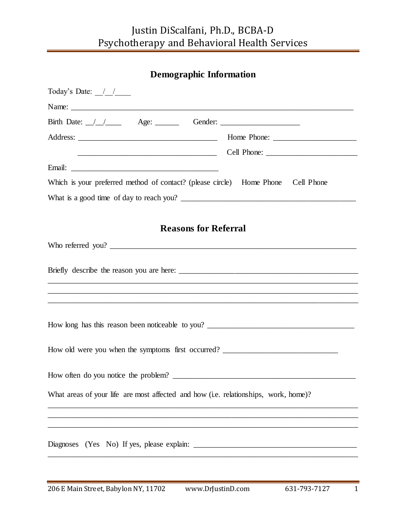## Justin DiScalfani, Ph.D., BCBA-D Psychotherapy and Behavioral Health Services

| <b>Demographic Information</b>                                                      |  |
|-------------------------------------------------------------------------------------|--|
| Today's Date: $\frac{1}{\sqrt{1-\frac{1}{2}}}$                                      |  |
|                                                                                     |  |
|                                                                                     |  |
|                                                                                     |  |
|                                                                                     |  |
|                                                                                     |  |
| Which is your preferred method of contact? (please circle) Home Phone Cell Phone    |  |
|                                                                                     |  |
|                                                                                     |  |
| <b>Reasons for Referral</b>                                                         |  |
| Who referred you?                                                                   |  |
|                                                                                     |  |
|                                                                                     |  |
|                                                                                     |  |
|                                                                                     |  |
| How old were you when the symptoms first occurred? ______________________________   |  |
|                                                                                     |  |
| What areas of your life are most affected and how (i.e. relationships, work, home)? |  |
|                                                                                     |  |
|                                                                                     |  |